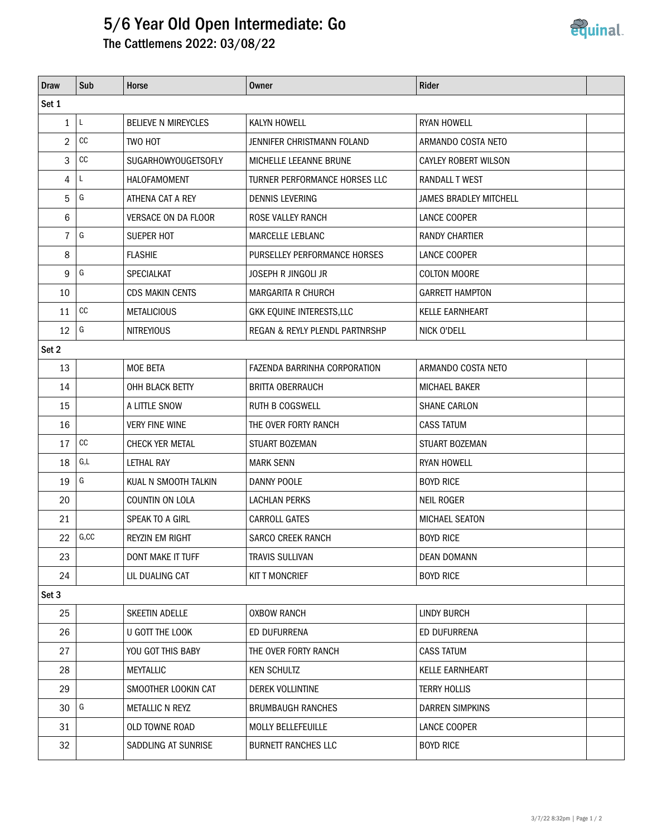## 5/6 Year Old Open Intermediate: Go

The Cattlemens 2022: 03/08/22

| <b>Draw</b>    | Sub   | Horse                      | <b>Owner</b>                        | Rider                         |  |  |  |  |  |
|----------------|-------|----------------------------|-------------------------------------|-------------------------------|--|--|--|--|--|
| Set 1          |       |                            |                                     |                               |  |  |  |  |  |
| $\mathbf{1}$   | L     | <b>BELIEVE N MIREYCLES</b> | KALYN HOWELL                        | <b>RYAN HOWELL</b>            |  |  |  |  |  |
| 2              | cc    | TWO HOT                    | JENNIFER CHRISTMANN FOLAND          | ARMANDO COSTA NETO            |  |  |  |  |  |
| 3              | cc    | <b>SUGARHOWYOUGETSOFLY</b> | MICHELLE LEEANNE BRUNE              | <b>CAYLEY ROBERT WILSON</b>   |  |  |  |  |  |
| 4              | L.    | HALOFAMOMENT               | TURNER PERFORMANCE HORSES LLC       | <b>RANDALL T WEST</b>         |  |  |  |  |  |
| 5              | G     | ATHENA CAT A REY           | <b>DENNIS LEVERING</b>              | <b>JAMES BRADLEY MITCHELL</b> |  |  |  |  |  |
| 6              |       | <b>VERSACE ON DA FLOOR</b> | <b>ROSE VALLEY RANCH</b>            | LANCE COOPER                  |  |  |  |  |  |
| $\overline{7}$ | G     | <b>SUEPER HOT</b>          | MARCELLE LEBLANC                    | <b>RANDY CHARTIER</b>         |  |  |  |  |  |
| 8              |       | <b>FLASHIE</b>             | PURSELLEY PERFORMANCE HORSES        | LANCE COOPER                  |  |  |  |  |  |
| 9              | G     | <b>SPECIALKAT</b>          | <b>JOSEPH R JINGOLI JR</b>          | <b>COLTON MOORE</b>           |  |  |  |  |  |
| 10             |       | <b>CDS MAKIN CENTS</b>     | <b>MARGARITA R CHURCH</b>           | <b>GARRETT HAMPTON</b>        |  |  |  |  |  |
| 11             | cc    | <b>METALICIOUS</b>         | GKK EQUINE INTERESTS, LLC           | <b>KELLE EARNHEART</b>        |  |  |  |  |  |
| 12             | G     | <b>NITREYIOUS</b>          | REGAN & REYLY PLENDL PARTNRSHP      | NICK O'DELL                   |  |  |  |  |  |
| Set 2          |       |                            |                                     |                               |  |  |  |  |  |
| 13             |       | <b>MOE BETA</b>            | <b>FAZENDA BARRINHA CORPORATION</b> | ARMANDO COSTA NETO            |  |  |  |  |  |
| 14             |       | OHH BLACK BETTY            | <b>BRITTA OBERRAUCH</b>             | <b>MICHAEL BAKER</b>          |  |  |  |  |  |
| 15             |       | A LITTLE SNOW              | <b>RUTH B COGSWELL</b>              | <b>SHANE CARLON</b>           |  |  |  |  |  |
| 16             |       | <b>VERY FINE WINE</b>      | THE OVER FORTY RANCH                | <b>CASS TATUM</b>             |  |  |  |  |  |
| 17             | cc    | <b>CHECK YER METAL</b>     | STUART BOZEMAN                      | STUART BOZEMAN                |  |  |  |  |  |
| 18             | G,L   | LETHAL RAY                 | <b>MARK SENN</b>                    | <b>RYAN HOWELL</b>            |  |  |  |  |  |
| 19             | G     | KUAL N SMOOTH TALKIN       | DANNY POOLE                         | <b>BOYD RICE</b>              |  |  |  |  |  |
| 20             |       | COUNTIN ON LOLA            | LACHLAN PERKS                       | <b>NEIL ROGER</b>             |  |  |  |  |  |
| 21             |       | SPEAK TO A GIRL            | <b>CARROLL GATES</b>                | MICHAEL SEATON                |  |  |  |  |  |
| 22             | G, CC | <b>REYZIN EM RIGHT</b>     | <b>SARCO CREEK RANCH</b>            | <b>BOYD RICE</b>              |  |  |  |  |  |
| 23             |       | <b>DONT MAKE IT TUFF</b>   | <b>TRAVIS SULLIVAN</b>              | <b>DEAN DOMANN</b>            |  |  |  |  |  |
| 24             |       | LIL DUALING CAT            | <b>KIT T MONCRIEF</b>               | <b>BOYD RICE</b>              |  |  |  |  |  |
| Set 3          |       |                            |                                     |                               |  |  |  |  |  |
| 25             |       | SKEETIN ADELLE             | <b>OXBOW RANCH</b>                  | <b>LINDY BURCH</b>            |  |  |  |  |  |
| 26             |       | U GOTT THE LOOK            | ED DUFURRENA                        | ED DUFURRENA                  |  |  |  |  |  |
| 27             |       | YOU GOT THIS BABY          | THE OVER FORTY RANCH                | <b>CASS TATUM</b>             |  |  |  |  |  |
| 28             |       | <b>MEYTALLIC</b>           | <b>KEN SCHULTZ</b>                  | <b>KELLE EARNHEART</b>        |  |  |  |  |  |
| 29             |       | SMOOTHER LOOKIN CAT        | DEREK VOLLINTINE                    | <b>TERRY HOLLIS</b>           |  |  |  |  |  |
| 30             | G     | METALLIC N REYZ            | <b>BRUMBAUGH RANCHES</b>            | <b>DARREN SIMPKINS</b>        |  |  |  |  |  |
| 31             |       | OLD TOWNE ROAD             | MOLLY BELLEFEUILLE                  | LANCE COOPER                  |  |  |  |  |  |
| 32             |       | SADDLING AT SUNRISE        | <b>BURNETT RANCHES LLC</b>          | <b>BOYD RICE</b>              |  |  |  |  |  |